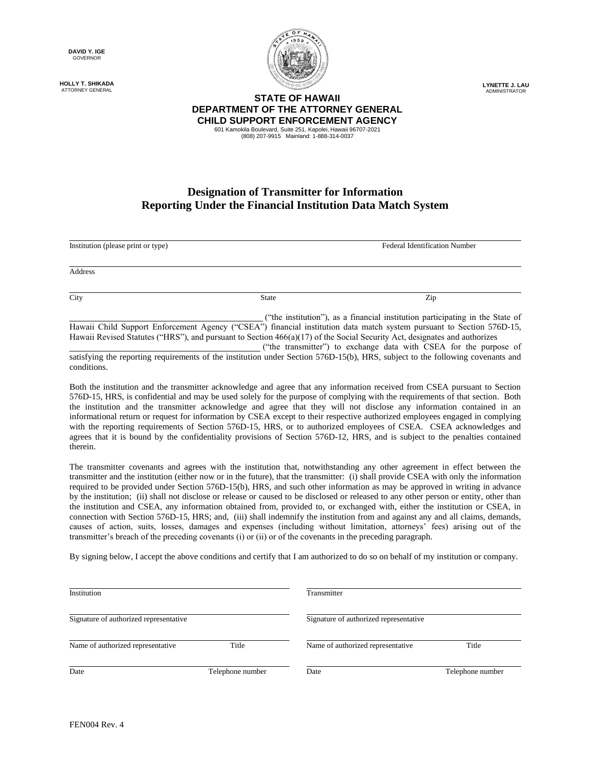**DAVID Y. IGE** GOVERNOR

**HOLLY T. SHIKADA** ATTORNEY GENERAL



**LYNETTE J. LAU** ADMINISTRATOR

## **STATE OF HAWAII DEPARTMENT OF THE ATTORNEY GENERAL CHILD SUPPORT ENFORCEMENT AGENCY** 601 Kamokila Boulevard, Suite 251, Kapolei, Hawaii 96707-2021

(808) 207-9915 Mainland: 1-888-314-0037

## **Designation of Transmitter for Information Reporting Under the Financial Institution Data Match System**

Address

Institution (please print or type) Federal Identification Number

City **State 2** State **2** State **2** State **2** State **2** State **2** State **2** State **2** State **2** State **2** State **2** State **2** State **2** State **2** State **2** State **2** State **2** State **2** State **2** State **2** State **2** State

("the institution"), as a financial institution participating in the State of Hawaii Child Support Enforcement Agency ("CSEA") financial institution data match system pursuant to Section 576D-15, Hawaii Revised Statutes ("HRS"), and pursuant to Section 466(a)(17) of the Social Security Act, designates and authorizes

("the transmitter") to exchange data with CSEA for the purpose of satisfying the reporting requirements of the institution under Section 576D-15(b), HRS, subject to the following covenants and conditions.

Both the institution and the transmitter acknowledge and agree that any information received from CSEA pursuant to Section 576D-15, HRS, is confidential and may be used solely for the purpose of complying with the requirements of that section. Both the institution and the transmitter acknowledge and agree that they will not disclose any information contained in an informational return or request for information by CSEA except to their respective authorized employees engaged in complying with the reporting requirements of Section 576D-15, HRS, or to authorized employees of CSEA. CSEA acknowledges and agrees that it is bound by the confidentiality provisions of Section 576D-12, HRS, and is subject to the penalties contained therein.

The transmitter covenants and agrees with the institution that, notwithstanding any other agreement in effect between the transmitter and the institution (either now or in the future), that the transmitter: (i) shall provide CSEA with only the information required to be provided under Section 576D-15(b), HRS, and such other information as may be approved in writing in advance by the institution; (ii) shall not disclose or release or caused to be disclosed or released to any other person or entity, other than the institution and CSEA, any information obtained from, provided to, or exchanged with, either the institution or CSEA, in connection with Section 576D-15, HRS; and, (iii) shall indemnify the institution from and against any and all claims, demands, causes of action, suits, losses, damages and expenses (including without limitation, attorneys' fees) arising out of the transmitter's breach of the preceding covenants (i) or (ii) or of the covenants in the preceding paragraph.

By signing below, I accept the above conditions and certify that I am authorized to do so on behalf of my institution or company.

| Institution                            |                  | Transmitter                            |                  |
|----------------------------------------|------------------|----------------------------------------|------------------|
| Signature of authorized representative |                  | Signature of authorized representative |                  |
| Name of authorized representative      | Title            | Name of authorized representative      | Title            |
| Date                                   | Telephone number | Date                                   | Telephone number |